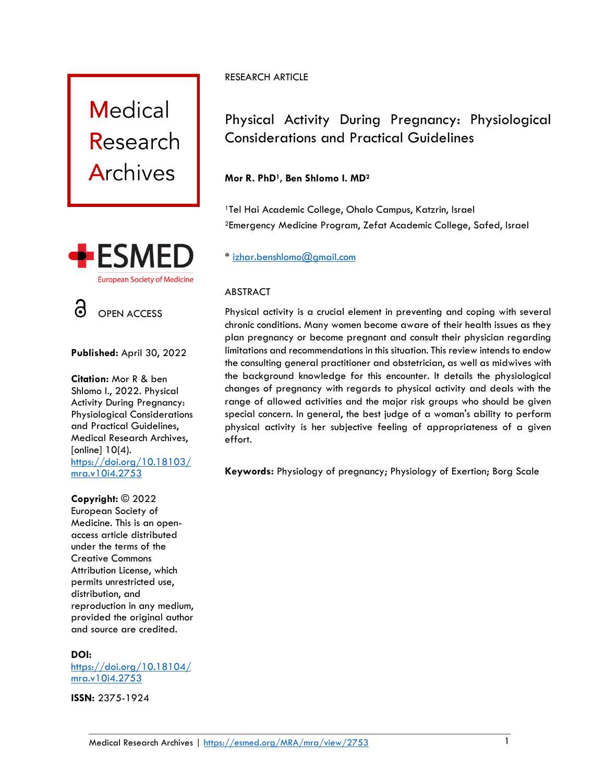



OPEN ACCESS

**Published:** April 30, 2022

**Citation:** Mor R & ben Shlomo I., 2022. Physical Activity During Pregnancy: Physiological Considerations and Practical Guidelines, Medical Research Archives, [online] 10(4). [https://doi.org/10.18103/](https://doi.org/10.18103/mra.v10i4.2750) [mra.v10i4.2753](https://doi.org/10.18103/mra.v10i4.2750)

#### **Copyright:** © 2022

European Society of Medicine. This is an openaccess article distributed under the terms of the Creative Commons Attribution License, which permits unrestricted use, distribution, and reproduction in any medium, provided the original author and source are credited.

#### **DOI:**

[https://doi.org/10.18104/](https://doi.org/10.18104/mra.v10i4.2753) [mra.v10i4.2753](https://doi.org/10.18104/mra.v10i4.2753)

**ISSN:** 2375-1924

## RESEARCH ARTICLE

# Physical Activity During Pregnancy: Physiological Considerations and Practical Guidelines

# **Mor R. PhD1, Ben Shlomo I. MD<sup>2</sup>**

<sup>1</sup>Tel Hai Academic College, Ohalo Campus, Katzrin, Israel <sup>2</sup>Emergency Medicine Program, Zefat Academic College, Safed, Israel

# \* [izhar.benshlomo@gmail.com](mailto:izhar.benshlomo@gmail.com)

## ABSTRACT

Physical activity is a crucial element in preventing and coping with several chronic conditions. Many women become aware of their health issues as they plan pregnancy or become pregnant and consult their physician regarding limitations and recommendations in this situation. This review intends to endow the consulting general practitioner and obstetrician, as well as midwives with the background knowledge for this encounter. It details the physiological changes of pregnancy with regards to physical activity and deals with the range of allowed activities and the major risk groups who should be given special concern. In general, the best judge of a woman's ability to perform physical activity is her subjective feeling of appropriateness of a given effort.

**Keywords:** Physiology of pregnancy; Physiology of Exertion; Borg Scale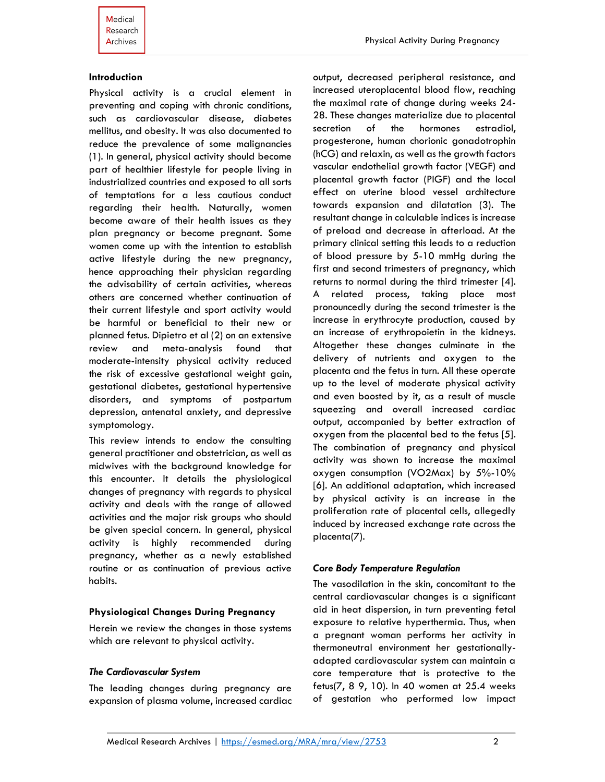#### **Introduction**

Physical activity is a crucial element in preventing and coping with chronic conditions, such as cardiovascular disease, diabetes mellitus, and obesity. It was also documented to reduce the prevalence of some malignancies (1). In general, physical activity should become part of healthier lifestyle for people living in industrialized countries and exposed to all sorts of temptations for a less cautious conduct regarding their health. Naturally, women become aware of their health issues as they plan pregnancy or become pregnant. Some women come up with the intention to establish active lifestyle during the new pregnancy, hence approaching their physician regarding the advisability of certain activities, whereas others are concerned whether continuation of their current lifestyle and sport activity would be harmful or beneficial to their new or planned fetus. Dipietro et al (2) on an extensive review and meta-analysis found that moderate-intensity physical activity reduced the risk of excessive gestational weight gain, gestational diabetes, gestational hypertensive disorders, and symptoms of postpartum depression, antenatal anxiety, and depressive symptomology.

This review intends to endow the consulting general practitioner and obstetrician, as well as midwives with the background knowledge for this encounter. It details the physiological changes of pregnancy with regards to physical activity and deals with the range of allowed activities and the major risk groups who should be given special concern. In general, physical activity is highly recommended during pregnancy, whether as a newly established routine or as continuation of previous active habits.

#### **Physiological Changes During Pregnancy**

Herein we review the changes in those systems which are relevant to physical activity.

#### *The Cardiovascular System*

The leading changes during pregnancy are expansion of plasma volume, increased cardiac output, decreased peripheral resistance, and increased uteroplacental blood flow, reaching the maximal rate of change during weeks 24- 28. These changes materialize due to placental secretion of the hormones estradiol, progesterone, human chorionic gonadotrophin (hCG) and relaxin, as well as the growth factors vascular endothelial growth factor (VEGF) and placental growth factor (PIGF) and the local effect on uterine blood vessel architecture towards expansion and dilatation (3). The resultant change in calculable indices is increase of preload and decrease in afterload. At the primary clinical setting this leads to a reduction of blood pressure by 5-10 mmHg during the first and second trimesters of pregnancy, which returns to normal during the third trimester [4]. A related process, taking place most pronouncedly during the second trimester is the increase in erythrocyte production, caused by an increase of erythropoietin in the kidneys. Altogether these changes culminate in the delivery of nutrients and oxygen to the placenta and the fetus in turn. All these operate up to the level of moderate physical activity and even boosted by it, as a result of muscle squeezing and overall increased cardiac output, accompanied by better extraction of oxygen from the placental bed to the fetus [5]. The combination of pregnancy and physical activity was shown to increase the maximal oxygen consumption (VO2Max) by 5%-10% [6]. An additional adaptation, which increased by physical activity is an increase in the proliferation rate of placental cells, allegedly induced by increased exchange rate across the placenta(7).

#### *Core Body Temperature Regulation*

The vasodilation in the skin, concomitant to the central cardiovascular changes is a significant aid in heat dispersion, in turn preventing fetal exposure to relative hyperthermia. Thus, when a pregnant woman performs her activity in thermoneutral environment her gestationallyadapted cardiovascular system can maintain a core temperature that is protective to the fetus(7, 8 9, 10). In 40 women at 25.4 weeks of gestation who performed low impact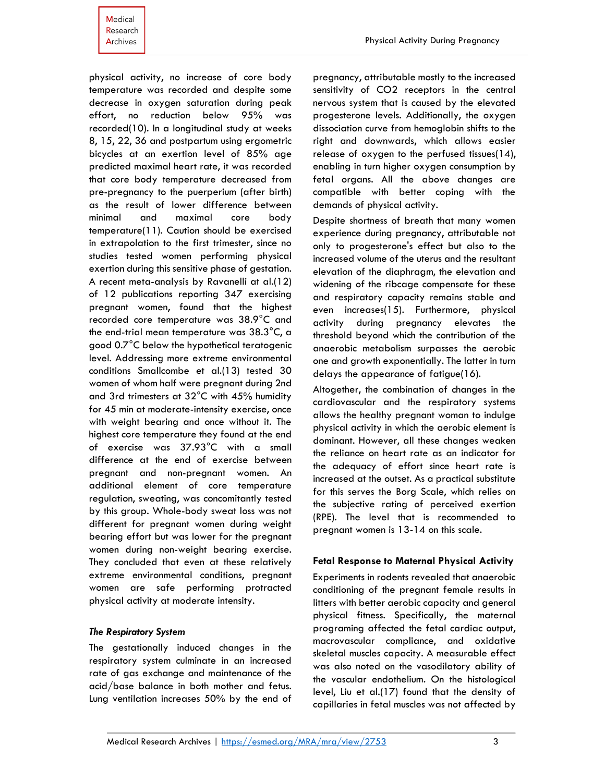physical activity, no increase of core body temperature was recorded and despite some decrease in oxygen saturation during peak effort, no reduction below 95% was recorded(10). In a longitudinal study at weeks 8, 15, 22, 36 and postpartum using ergometric bicycles at an exertion level of 85% age predicted maximal heart rate, it was recorded that core body temperature decreased from pre-pregnancy to the puerperium (after birth) as the result of lower difference between minimal and maximal core body temperature(11). Caution should be exercised in extrapolation to the first trimester, since no studies tested women performing physical exertion during this sensitive phase of gestation. A recent meta-analysis by Ravanelli at al.(12) of 12 publications reporting 347 exercising pregnant women, found that the highest recorded core temperature was 38.9°C and the end-trial mean temperature was 38.3°C, a good 0.7°C below the hypothetical teratogenic level. Addressing more extreme environmental conditions Smallcombe et al.(13) tested 30 women of whom half were pregnant during 2nd and 3rd trimesters at 32°C with 45% humidity for 45 min at moderate-intensity exercise, once with weight bearing and once without it. The highest core temperature they found at the end of exercise was 37.93°C with a small difference at the end of exercise between pregnant and non-pregnant women. An additional element of core temperature regulation, sweating, was concomitantly tested by this group. Whole-body sweat loss was not different for pregnant women during weight bearing effort but was lower for the pregnant women during non-weight bearing exercise. They concluded that even at these relatively extreme environmental conditions, pregnant women are safe performing protracted physical activity at moderate intensity.

#### *The Respiratory System*

The gestationally induced changes in the respiratory system culminate in an increased rate of gas exchange and maintenance of the acid/base balance in both mother and fetus. Lung ventilation increases 50% by the end of pregnancy, attributable mostly to the increased sensitivity of CO2 receptors in the central nervous system that is caused by the elevated progesterone levels. Additionally, the oxygen dissociation curve from hemoglobin shifts to the right and downwards, which allows easier release of oxygen to the perfused tissues(14), enabling in turn higher oxygen consumption by fetal organs. All the above changes are compatible with better coping with the demands of physical activity.

Despite shortness of breath that many women experience during pregnancy, attributable not only to progesterone's effect but also to the increased volume of the uterus and the resultant elevation of the diaphragm, the elevation and widening of the ribcage compensate for these and respiratory capacity remains stable and even increases(15). Furthermore, physical activity during pregnancy elevates the threshold beyond which the contribution of the anaerobic metabolism surpasses the aerobic one and growth exponentially. The latter in turn delays the appearance of fatigue(16).

Altogether, the combination of changes in the cardiovascular and the respiratory systems allows the healthy pregnant woman to indulge physical activity in which the aerobic element is dominant. However, all these changes weaken the reliance on heart rate as an indicator for the adequacy of effort since heart rate is increased at the outset. As a practical substitute for this serves the Borg Scale, which relies on the subjective rating of perceived exertion (RPE). The level that is recommended to pregnant women is 13-14 on this scale.

#### **Fetal Response to Maternal Physical Activity**

Experiments in rodents revealed that anaerobic conditioning of the pregnant female results in litters with better aerobic capacity and general physical fitness. Specifically, the maternal programing affected the fetal cardiac output, macrovascular compliance, and oxidative skeletal muscles capacity. A measurable effect was also noted on the vasodilatory ability of the vascular endothelium. On the histological level, Liu et al.(17) found that the density of capillaries in fetal muscles was not affected by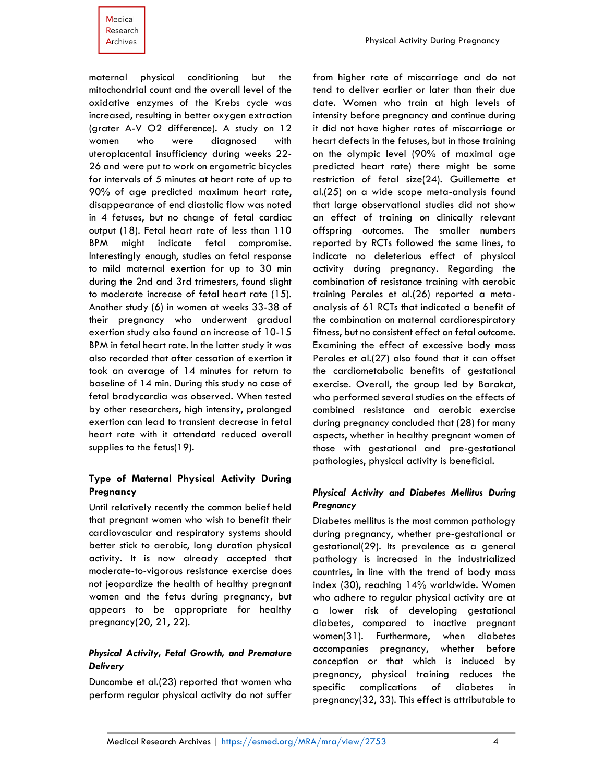maternal physical conditioning but the mitochondrial count and the overall level of the oxidative enzymes of the Krebs cycle was increased, resulting in better oxygen extraction (grater A-V O2 difference). A study on 12 women who were diagnosed with uteroplacental insufficiency during weeks 22- 26 and were put to work on ergometric bicycles for intervals of 5 minutes at heart rate of up to 90% of age predicted maximum heart rate, disappearance of end diastolic flow was noted in 4 fetuses, but no change of fetal cardiac output (18). Fetal heart rate of less than 110 BPM might indicate fetal compromise. Interestingly enough, studies on fetal response to mild maternal exertion for up to 30 min during the 2nd and 3rd trimesters, found slight to moderate increase of fetal heart rate (15). Another study (6) in women at weeks 33-38 of their pregnancy who underwent gradual exertion study also found an increase of 10-15 BPM in fetal heart rate. In the latter study it was also recorded that after cessation of exertion it took an average of 14 minutes for return to baseline of 14 min. During this study no case of fetal bradycardia was observed. When tested by other researchers, high intensity, prolonged exertion can lead to transient decrease in fetal heart rate with it attendatd reduced overall supplies to the fetus(19).

## **Type of Maternal Physical Activity During Pregnancy**

Until relatively recently the common belief held that pregnant women who wish to benefit their cardiovascular and respiratory systems should better stick to aerobic, long duration physical activity. It is now already accepted that moderate-to-vigorous resistance exercise does not jeopardize the health of healthy pregnant women and the fetus during pregnancy, but appears to be appropriate for healthy pregnancy(20, 21, 22).

## *Physical Activity, Fetal Growth, and Premature Delivery*

Duncombe et al.(23) reported that women who perform regular physical activity do not suffer from higher rate of miscarriage and do not tend to deliver earlier or later than their due date. Women who train at high levels of intensity before pregnancy and continue during it did not have higher rates of miscarriage or heart defects in the fetuses, but in those training on the olympic level (90% of maximal age predicted heart rate) there might be some restriction of fetal size(24). Guillemette et al.(25) on a wide scope meta-analysis found that large observational studies did not show an effect of training on clinically relevant offspring outcomes. The smaller numbers reported by RCTs followed the same lines, to indicate no deleterious effect of physical activity during pregnancy. Regarding the combination of resistance training with aerobic training Perales et al.(26) reported a metaanalysis of 61 RCTs that indicated a benefit of the combination on maternal cardiorespiratory fitness, but no consistent effect on fetal outcome. Examining the effect of excessive body mass Perales et al.(27) also found that it can offset the cardiometabolic benefits of gestational exercise. Overall, the group led by Barakat, who performed several studies on the effects of combined resistance and aerobic exercise during pregnancy concluded that (28) for many aspects, whether in healthy pregnant women of those with gestational and pre-gestational pathologies, physical activity is beneficial.

## *Physical Activity and Diabetes Mellitus During Pregnancy*

Diabetes mellitus is the most common pathology during pregnancy, whether pre-gestational or gestational(29). Its prevalence as a general pathology is increased in the industrialized countries, in line with the trend of body mass index (30), reaching 14% worldwide. Women who adhere to regular physical activity are at a lower risk of developing gestational diabetes, compared to inactive pregnant women(31). Furthermore, when diabetes accompanies pregnancy, whether before conception or that which is induced by pregnancy, physical training reduces the specific complications of diabetes in pregnancy(32, 33). This effect is attributable to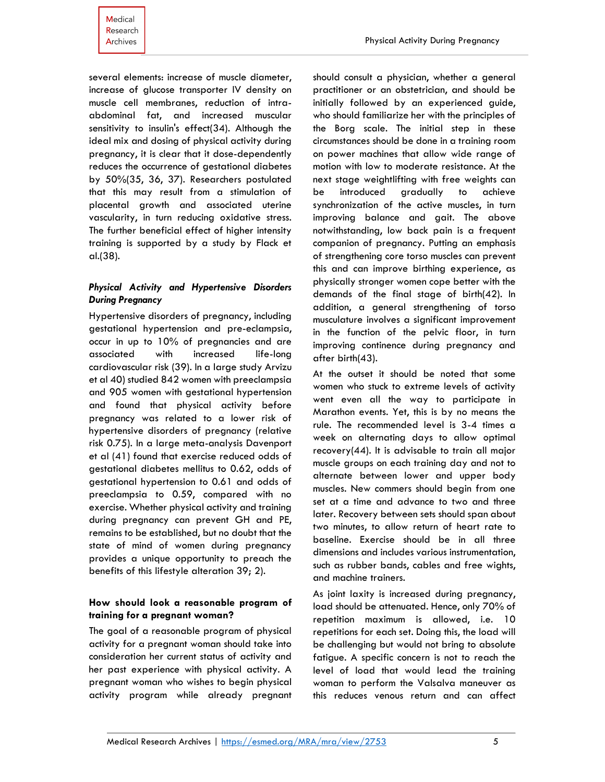several elements: increase of muscle diameter, increase of glucose transporter IV density on muscle cell membranes, reduction of intraabdominal fat, and increased muscular sensitivity to insulin's effect(34). Although the ideal mix and dosing of physical activity during pregnancy, it is clear that it dose-dependently reduces the occurrence of gestational diabetes by 50%(35, 36, 37). Researchers postulated that this may result from a stimulation of placental growth and associated uterine vascularity, in turn reducing oxidative stress. The further beneficial effect of higher intensity training is supported by a study by Flack et al.(38).

## *Physical Activity and Hypertensive Disorders During Pregnancy*

Hypertensive disorders of pregnancy, including gestational hypertension and pre-eclampsia, occur in up to 10% of pregnancies and are associated with increased life-long cardiovascular risk (39). In a large study Arvizu et al 40) studied 842 women with preeclampsia and 905 women with gestational hypertension and found that physical activity before pregnancy was related to a lower risk of hypertensive disorders of pregnancy (relative risk 0.75). In a large meta-analysis Davenport et al (41) found that exercise reduced odds of gestational diabetes mellitus to 0.62, odds of gestational hypertension to 0.61 and odds of preeclampsia to 0.59, compared with no exercise. Whether physical activity and training during pregnancy can prevent GH and PE, remains to be established, but no doubt that the state of mind of women during pregnancy provides a unique opportunity to preach the benefits of this lifestyle alteration 39; 2).

#### **How should look a reasonable program of training for a pregnant woman?**

The goal of a reasonable program of physical activity for a pregnant woman should take into consideration her current status of activity and her past experience with physical activity. A pregnant woman who wishes to begin physical activity program while already pregnant should consult a physician, whether a general practitioner or an obstetrician, and should be initially followed by an experienced guide, who should familiarize her with the principles of the Borg scale. The initial step in these circumstances should be done in a training room on power machines that allow wide range of motion with low to moderate resistance. At the next stage weightlifting with free weights can be introduced gradually to achieve synchronization of the active muscles, in turn improving balance and gait. The above notwithstanding, low back pain is a frequent companion of pregnancy. Putting an emphasis of strengthening core torso muscles can prevent this and can improve birthing experience, as physically stronger women cope better with the demands of the final stage of birth(42). In addition, a general strengthening of torso musculature involves a significant improvement in the function of the pelvic floor, in turn improving continence during pregnancy and after birth(43).

At the outset it should be noted that some women who stuck to extreme levels of activity went even all the way to participate in Marathon events. Yet, this is by no means the rule. The recommended level is 3-4 times a week on alternating days to allow optimal recovery(44). It is advisable to train all major muscle groups on each training day and not to alternate between lower and upper body muscles. New commers should begin from one set at a time and advance to two and three later. Recovery between sets should span about two minutes, to allow return of heart rate to baseline. Exercise should be in all three dimensions and includes various instrumentation, such as rubber bands, cables and free wights, and machine trainers.

As joint laxity is increased during pregnancy, load should be attenuated. Hence, only 70% of repetition maximum is allowed, i.e. 10 repetitions for each set. Doing this, the load will be challenging but would not bring to absolute fatigue. A specific concern is not to reach the level of load that would lead the training woman to perform the Valsalva maneuver as this reduces venous return and can affect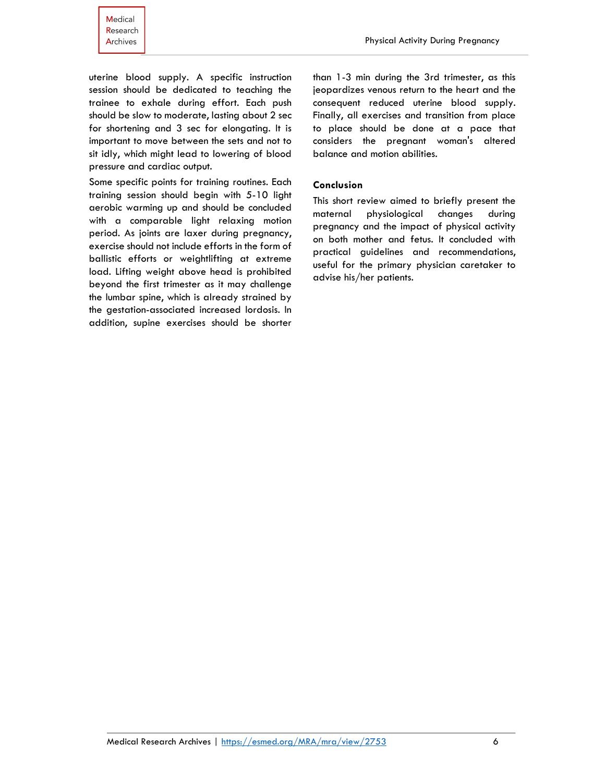uterine blood supply. A specific instruction session should be dedicated to teaching the trainee to exhale during effort. Each push should be slow to moderate, lasting about 2 sec for shortening and 3 sec for elongating. It is important to move between the sets and not to sit idly, which might lead to lowering of blood pressure and cardiac output.

Some specific points for training routines. Each training session should begin with 5-10 light aerobic warming up and should be concluded with a comparable light relaxing motion period. As joints are laxer during pregnancy, exercise should not include efforts in the form of ballistic efforts or weightlifting at extreme load. Lifting weight above head is prohibited beyond the first trimester as it may challenge the lumbar spine, which is already strained by the gestation-associated increased lordosis. In addition, supine exercises should be shorter than 1-3 min during the 3rd trimester, as this jeopardizes venous return to the heart and the consequent reduced uterine blood supply. Finally, all exercises and transition from place to place should be done at a pace that considers the pregnant woman's altered balance and motion abilities.

#### **Conclusion**

This short review aimed to briefly present the maternal physiological changes during pregnancy and the impact of physical activity on both mother and fetus. It concluded with practical guidelines and recommendations, useful for the primary physician caretaker to advise his/her patients.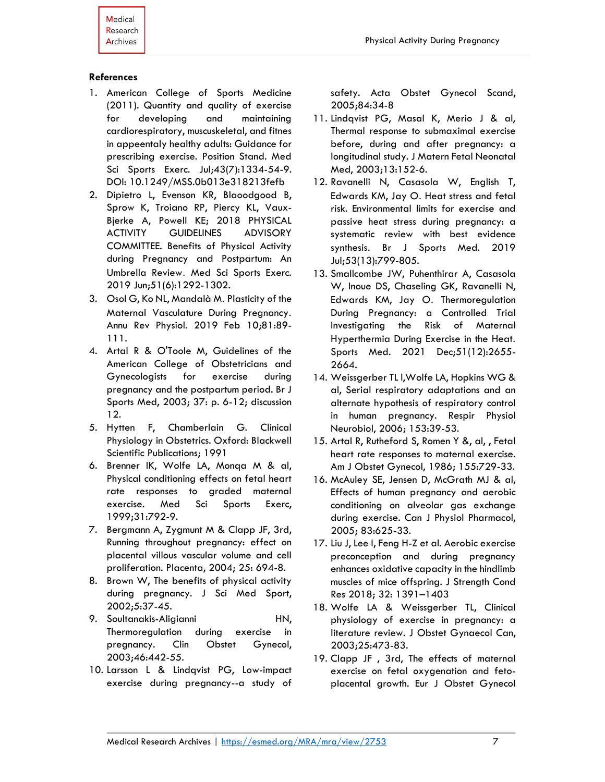## **References**

- 1. American College of Sports Medicine (2011). Quantity and quality of exercise for developing and maintaining cardiorespiratory, muscuskeletal, and fitnes in appeentaly healthy adults: Guidance for prescribing exercise. Position Stand. Med Sci Sports Exerc. Jul;43(7):1334-54-9. DOI: 10.1249/MSS.0b013e318213fefb
- 2. Dipietro L, Evenson KR, Blaoodgood B, Sprow K, Troiano RP, Piercy KL, Vaux-Bjerke A, Powell KE; 2018 PHYSICAL ACTIVITY GUIDELINES ADVISORY COMMITTEE. Benefits of Physical Activity during Pregnancy and Postpartum: An Umbrella Review. Med Sci Sports Exerc. 2019 Jun;51(6):1292-1302.
- 3. Osol G, Ko NL, Mandalà M. Plasticity of the Maternal Vasculature During Pregnancy . Annu Rev Physiol. 2019 Feb 10;81:89- 111.
- 4. Artal R & O'Toole M, Guidelines of the American College of Obstetricians and Gynecologists for exercise during pregnancy and the postpartum period. Br J Sports Med, 2003; 37: p. 6-12; discussion 12.
- 5. Hytten F, Chamberlain G. Clinical Physiology in Obstetrics. Oxford: Blackwell Scientific Publications; 1991
- 6. Brenner IK, Wolfe LA, Monqa M & al, Physical conditioning effects on fetal heart rate responses to graded maternal exercise. Med Sci Sports Exerc, 1999;31:792-9.
- 7. Bergmann A, Zygmunt M & Clapp JF, 3rd, Running throughout pregnancy: effect on placental villous vascular volume and cell proliferation. Placenta, 2004; 25: 694-8.
- 8. Brown W, The benefits of physical activity during pregnancy. J Sci Med Sport, 2002;5:37-45.
- 9. Soultanakis-Aligianni HN, Thermoregulation during exercise in pregnancy. Clin Obstet Gynecol, 2003;46:442-55.
- 10. Larsson L & Lindqvist PG, Low-impact exercise during pregnancy--a study of

safety. Acta Obstet Gynecol Scand, 2005;84:34-8

- 11. Lindqvist PG, Masal K, Merio J & al, Thermal response to submaximal exercise before, during and after pregnancy: a longitudinal study. J Matern Fetal Neonatal Med, 2003;13:152-6.
- 12. Ravanelli N, Casasola W, English T, Edwards KM, Jay O. Heat stress and fetal risk. Environmental limits for exercise and passive heat stress during pregnancy: a systematic review with best evidence synthesis. Br J Sports Med. 2019 Jul;53(13):799-805.
- 13. Smallcombe JW, Puhenthirar A, Casasola W, Inoue DS, Chaseling GK, Ravanelli N, Edwards KM, Jay O. Thermoregulation During Pregnancy: a Controlled Trial Investigating the Risk of Maternal Hyperthermia During Exercise in the Heat. Sports Med. 2021 Dec;51(12):2655- 2664.
- 14. Weissgerber TL l,Wolfe LA, Hopkins WG & al, Serial respiratory adaptations and an alternate hypothesis of respiratory control in human pregnancy. Respir Physiol Neurobiol, 2006; 153:39-53.
- 15. Artal R, Rutheford S, Romen Y &, al, , Fetal heart rate responses to maternal exercise. Am J Obstet Gynecol, 1986; 155:729-33.
- 16. McAuley SE, Jensen D, McGrath MJ & al, Effects of human pregnancy and aerobic conditioning on alveolar gas exchange during exercise. Can J Physiol Pharmacol, 2005; 83:625-33.
- 17. Liu J, Lee I, Feng H-Z et al. Aerobic exercise preconception and during pregnancy enhances oxidative capacity in the hindlimb muscles of mice offspring. J Strength Cond Res 2018; 32: 1391–1403
- 18. Wolfe LA & Weissgerber TL, Clinical physiology of exercise in pregnancy: a literature review. J Obstet Gynaecol Can, 2003;25:473-83.
- 19. Clapp JF , 3rd, The effects of maternal exercise on fetal oxygenation and fetoplacental growth. Eur J Obstet Gynecol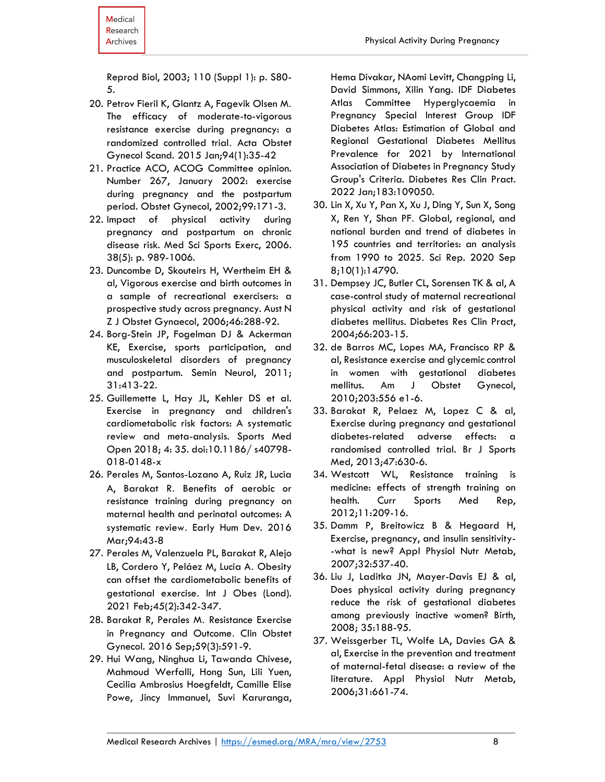Reprod Biol, 2003; 110 (Suppl 1): p. S80- 5.

- 20. Petrov Fieril K, Glantz A, Fagevik Olsen M. The efficacy of moderate-to-vigorous resistance exercise during pregnancy: a randomized controlled trial. Acta Obstet Gynecol Scand. 2015 Jan;94(1):35-42
- 21. Practice ACO, ACOG Committee opinion. Number 267, January 2002: exercise during pregnancy and the postpartum period. Obstet Gynecol, 2002;99:171-3.
- 22. Impact of physical activity during pregnancy and postpartum on chronic disease risk. Med Sci Sports Exerc, 2006. 38(5): p. 989-1006.
- 23. Duncombe D, Skouteirs H, Wertheim EH & al, Vigorous exercise and birth outcomes in a sample of recreational exercisers: a prospective study across pregnancy. Aust N Z J Obstet Gynaecol, 2006;46:288-92.
- 24. Borg-Stein JP, Fogelman DJ & Ackerman KE, Exercise, sports participation, and musculoskeletal disorders of pregnancy and postpartum. Semin Neurol, 2011; 31:413-22.
- 25. Guillemette L, Hay JL, Kehler DS et al. Exercise in pregnancy and children's cardiometabolic risk factors: A systematic review and meta-analysis. Sports Med Open 2018; 4: 35. doi:10.1186/ s40798- 018-0148-x
- 26. Perales M, Santos-Lozano A, Ruiz JR, Lucia A, Barakat R. Benefits of aerobic or resistance training during pregnancy on maternal health and perinatal outcomes: A systematic review. Early Hum Dev. 2016 Mar;94:43-8
- 27. Perales M, Valenzuela PL, Barakat R, Alejo LB, Cordero Y, Peláez M, Lucia A. Obesity can offset the cardiometabolic benefits of gestational exercise. Int J Obes (Lond). 2021 Feb;45(2):342-347.
- 28. Barakat R, Perales M. Resistance Exercise in Pregnancy and Outcome. Clin Obstet Gynecol. 2016 Sep;59(3):591-9.
- 29. Hui Wang, Ninghua Li, Tawanda Chivese, Mahmoud Werfalli, Hong Sun, Lili Yuen, Cecilia Ambrosius Hoegfeldt, Camille Elise Powe, Jincy Immanuel, Suvi Karuranga,

Hema Divakar, NAomi Levitt, Changping Li, David Simmons, Xilin Yang. IDF Diabetes Atlas Committee Hyperglycaemia in Pregnancy Special Interest Group IDF Diabetes Atlas: Estimation of Global and Regional Gestational Diabetes Mellitus Prevalence for 2021 by International Association of Diabetes in Pregnancy Study Group's Criteria. Diabetes Res Clin Pract. 2022 Jan;183:109050.

- 30. Lin X, Xu Y, Pan X, Xu J, Ding Y, Sun X, Song X, Ren Y, Shan PF. Global, regional, and national burden and trend of diabetes in 195 countries and territories: an analysis from 1990 to 2025. Sci Rep. 2020 Sep 8;10(1):14790.
- 31. Dempsey JC, Butler CL, Sorensen TK & al, A case-control study of maternal recreational physical activity and risk of gestational diabetes mellitus. Diabetes Res Clin Pract, 2004;66:203-15.
- 32. de Barros MC, Lopes MA, Francisco RP & al, Resistance exercise and glycemic control in women with gestational diabetes mellitus. Am J Obstet Gynecol, 2010;203:556 e1-6.
- 33. Barakat R, Pelaez M, Lopez C & al, Exercise during pregnancy and gestational diabetes-related adverse effects: a randomised controlled trial. Br J Sports Med, 2013;47:630-6.
- 34. Westcott WL, Resistance training is medicine: effects of strength training on health. Curr Sports Med Rep, 2012;11:209-16.
- 35. Damm P, Breitowicz B & Hegaard H, Exercise, pregnancy, and insulin sensitivity- -what is new? Appl Physiol Nutr Metab, 2007;32:537-40.
- 36. Liu J, Laditka JN, Mayer-Davis EJ & al, Does physical activity during pregnancy reduce the risk of gestational diabetes among previously inactive women? Birth, 2008; 35:188-95.
- 37. Weissgerber TL, Wolfe LA, Davies GA & al, Exercise in the prevention and treatment of maternal-fetal disease: a review of the literature. Appl Physiol Nutr Metab, 2006;31:661-74.